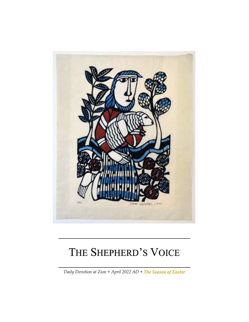

# THE SHEPHERD'S VOICE

*Daily Devotion at Zion + April 2022 AD + The Season of Easter*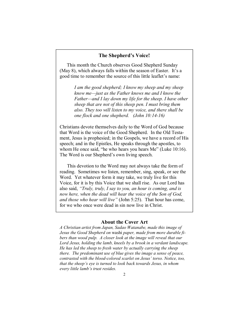#### **The Shepherd's Voice!**

This month the Church observes Good Shepherd Sunday (May 8), which always falls within the season of Easter. It's a good time to remember the source of this little leaflet's name:

> *I am the good shepherd; I know my sheep and my sheep know me—just as the Father knows me and I know the Father—and I lay down my life for the sheep. I have other sheep that are not of this sheep pen. I must bring them also. They too will listen to my voice, and there shall be one flock and one shepherd. (John 10:14-16)*

Christians devote themselves daily to the Word of God because that Word is the voice of the Good Shepherd. In the Old Testament, Jesus is prophesied; in the Gospels, we have a record of His speech; and in the Epistles, He speaks through the apostles, to whom He once said, "he who hears you hears Me" (Luke 10:16). The Word is our Shepherd's own living speech.

This devotion to the Word may not always take the form of reading. Sometimes we listen, remember, sing, speak, or see the Word. Yet whatever form it may take, we truly live for this Voice, for it is by this Voice that we shall rise. As our Lord has also said, *"Truly, truly, I say to you, an hour is coming, and is now here, when the dead will hear the voice of the Son of God, and those who hear will live"* (John 5:25). That hour has come, for we who once were dead in sin now live in Christ.

#### **About the Cover Art**

*A Christian artist from Japan, Sadao Watanabe, made this image of Jesus the Good Shepherd on* washi *paper, made from more durable fibers than wood pulp. A closer look at the image will reveal that our Lord Jesus, holding the lamb, kneels by a brook in a verdant landscape. He has led the sheep to fresh water by actually carrying the sheep there. The predominant use of blue gives the image a sense of peace, contrasted with the blood-colored scarlet on Jesus' torso. Notice, too, that the sheep's eye is turned to look back towards Jesus, in whom every little lamb's trust resides.*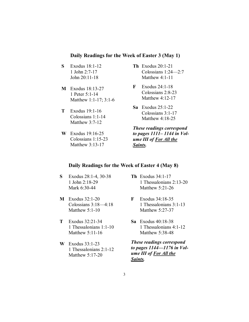## **Daily Readings for the Week of Easter 3 (May 1)**

- **S** Exodus 18:1-12 1 John 2:7-17 John 20:11-18
- **M** Exodus 18:13-27 1 Peter 5:1-14 Matthew 1:1-17; 3:1-6
- **T** Exodus 19:1-16 Colossians 1:1-14 Matthew 3:7-12
- **W** Exodus 19:16-25 Colossians 1:15-23 Matthew 3:13-17
- **Th** Exodus 20:1-21 Colossians 1:24—2:7 Matthew 4:1-11
- **F** Exodus 24:1-18 Colossians 2:8-23 Matthew 4:12-17
- **Sa** Exodus 25:1-22 Colossians 3:1-17 Matthew 4:18-25

*These readings correspond to pages 1111– 1144 in Volume III of For All the Saints.* 

## **Daily Readings for the Week of Easter 4 (May 8)**

- **S** Exodus 28:1-4, 30-38 1 John 2:18-29 Mark 6:30-44
- **M** Exodus 32:1-20 Colossians 3:18—4:18 Matthew 5:1-10
- **T** Exodus 32:21-34 1 Thessalonians 1:1-10 Matthew 5:11-16
- **W** Exodus 33:1-23 1 Thessalonians 2:1-12 Matthew 5:17-20
- **Th** Exodus 34:1-17 1 Thessalonians 2:13-20 Matthew 5:21-26
- **F** Exodus 34:18-35 1 Thessalonians 3:1-13 Matthew 5:27-37
- **Sa** Exodus 40:18-38 1 Thessalonians 4:1-12 Matthew 5:38-48

*These readings correspond to pages 1144—1176 in Volume III of For All the Saints.*